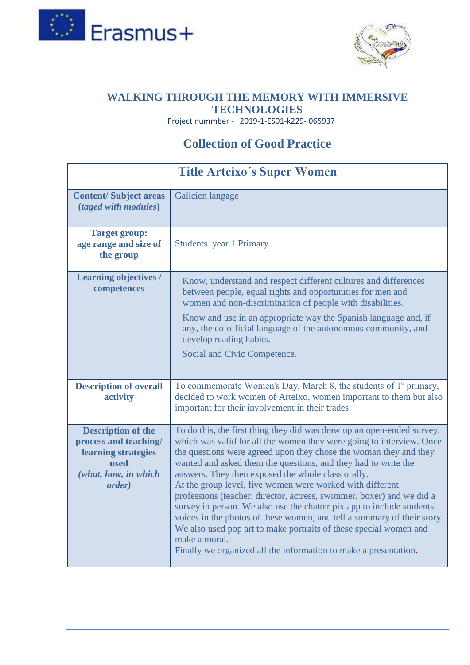



## **[WALKING THROUGH THE MEMORY WITH IMMERSIVE](https://www.wtmemory19.com/)  [TECHNOLOGIES](https://www.wtmemory19.com/)**

Project nummber - 2019-1-ES01-k229- 065937

## **Collection of Good Practice**

| <b>Title Arteixo's Super Women</b>                                                                                  |                                                                                                                                                                                                                                                                                                                                                                                                                                                                                                                                                                                                                                                                                                                                                                                                  |
|---------------------------------------------------------------------------------------------------------------------|--------------------------------------------------------------------------------------------------------------------------------------------------------------------------------------------------------------------------------------------------------------------------------------------------------------------------------------------------------------------------------------------------------------------------------------------------------------------------------------------------------------------------------------------------------------------------------------------------------------------------------------------------------------------------------------------------------------------------------------------------------------------------------------------------|
| <b>Content/Subject areas</b><br>(taged with modules)                                                                | Galicien langage                                                                                                                                                                                                                                                                                                                                                                                                                                                                                                                                                                                                                                                                                                                                                                                 |
| <b>Target group:</b><br>age range and size of<br>the group                                                          | Students year 1 Primary.                                                                                                                                                                                                                                                                                                                                                                                                                                                                                                                                                                                                                                                                                                                                                                         |
| <b>Learning objectives /</b><br>competences                                                                         | Know, understand and respect different cultures and differences<br>between people, equal rights and opportunities for men and<br>women and non-discrimination of people with disabilities.<br>Know and use in an appropriate way the Spanish language and, if<br>any, the co-official language of the autonomous community, and<br>develop reading habits.<br>Social and Civic Competence.                                                                                                                                                                                                                                                                                                                                                                                                       |
| <b>Description of overall</b><br>activity                                                                           | To commemorate Women's Day, March 8, the students of 1° primary,<br>decided to work women of Arteixo, women important to them but also<br>important for their involvement in their trades.                                                                                                                                                                                                                                                                                                                                                                                                                                                                                                                                                                                                       |
| <b>Description of the</b><br>process and teaching/<br>learning strategies<br>used<br>(what, how, in which<br>order) | To do this, the first thing they did was draw up an open-ended survey,<br>which was valid for all the women they were going to interview. Once<br>the questions were agreed upon they chose the woman they and they<br>wanted and asked them the questions, and they had to write the<br>answers. They then exposed the whole class orally.<br>At the group level, five women were worked with different<br>professions (teacher, director, actress, swimmer, boxer) and we did a<br>survey in person. We also use the chatter pix app to include students'<br>voices in the photos of these women, and tell a summary of their story.<br>We also used pop art to make portraits of these special women and<br>make a mural.<br>Finally we organized all the information to make a presentation. |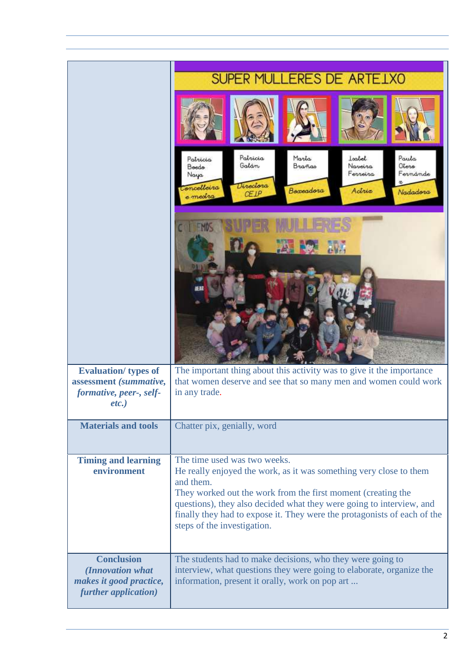|                                                                                              | SUPER MULLERES DE ARTELXO                                                                                                                                                                                                                                                                                                                                          |
|----------------------------------------------------------------------------------------------|--------------------------------------------------------------------------------------------------------------------------------------------------------------------------------------------------------------------------------------------------------------------------------------------------------------------------------------------------------------------|
|                                                                                              |                                                                                                                                                                                                                                                                                                                                                                    |
|                                                                                              | Patricia<br>Marta<br>Paula<br>Isabel<br>Patricia<br>Otero<br>Galán<br>Navoira<br>Brañas<br>Boedo<br>Ferreira<br>Fernánde<br>Naya<br>Directora<br>Toncelleira<br>Boxeadora<br>Actric<br>Nadadora<br>C E1P<br>e medra                                                                                                                                                |
|                                                                                              | FMOS                                                                                                                                                                                                                                                                                                                                                               |
| <b>Evaluation/</b> types of<br>assessment (summative,<br>formative, peer-, self-<br>$etc.$ ) | The important thing about this activity was to give it the importance<br>that women deserve and see that so many men and women could work<br>in any trade.                                                                                                                                                                                                         |
| <b>Materials and tools</b>                                                                   | Chatter pix, genially, word                                                                                                                                                                                                                                                                                                                                        |
| <b>Timing and learning</b><br>environment                                                    | The time used was two weeks.<br>He really enjoyed the work, as it was something very close to them<br>and them.<br>They worked out the work from the first moment (creating the<br>questions), they also decided what they were going to interview, and<br>finally they had to expose it. They were the protagonists of each of the<br>steps of the investigation. |
| <b>Conclusion</b><br>(Innovation what<br>makes it good practice,<br>further application)     | The students had to make decisions, who they were going to<br>interview, what questions they were going to elaborate, organize the<br>information, present it orally, work on pop art                                                                                                                                                                              |